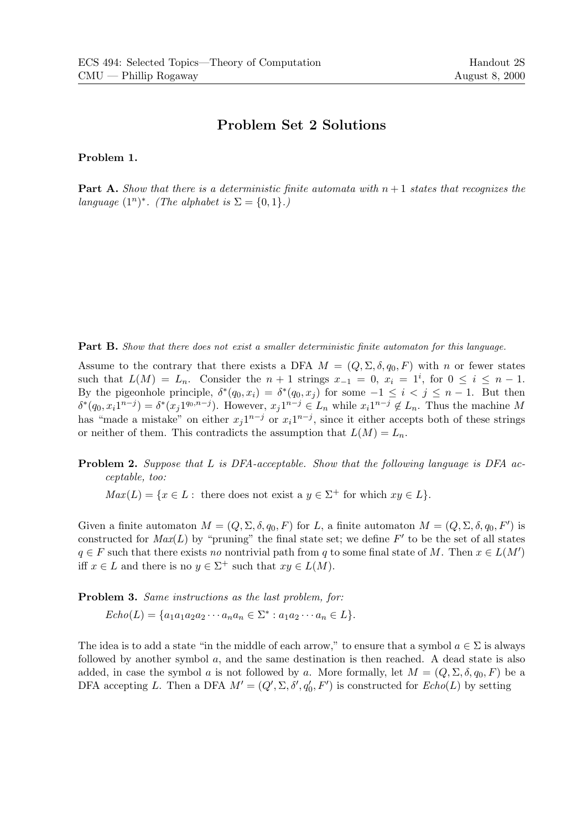## Problem Set 2 Solutions

Problem 1.

**Part A.** Show that there is a deterministic finite automata with  $n + 1$  states that recognizes the language  $(1^n)^*$ . (The alphabet is  $\Sigma = \{0, 1\}$ .)

**Part B.** Show that there does not exist a smaller deterministic finite automaton for this language.

Assume to the contrary that there exists a DFA  $M = (Q, \Sigma, \delta, q_0, F)$  with n or fewer states such that  $L(M) = L_n$ . Consider the  $n + 1$  strings  $x_{-1} = 0$ ,  $x_i = 1^i$ , for  $0 \le i \le n - 1$ . By the pigeonhole principle,  $\delta^*(q_0, x_i) = \delta^*(q_0, x_j)$  for some  $-1 \leq i < j \leq n-1$ . But then  $\delta^*(q_0, x_i 1^{n-j}) = \delta^*(x_j 1^{q_0, n-j})$ . However,  $x_j 1^{n-j} \in L_n$  while  $x_i 1^{n-j} \notin L_n$ . Thus the machine M has "made a mistake" on either  $x_j1^{n-j}$  or  $x_i1^{n-j}$ , since it either accepts both of these strings or neither of them. This contradicts the assumption that  $L(M) = L_n$ .

**Problem 2.** Suppose that L is DFA-acceptable. Show that the following language is DFA acceptable, too:

 $Max(L) = \{x \in L : \text{ there does not exist a } y \in \Sigma^+ \text{ for which } xy \in L\}.$ 

Given a finite automaton  $M = (Q, \Sigma, \delta, q_0, F)$  for L, a finite automaton  $M = (Q, \Sigma, \delta, q_0, F')$  is constructed for  $Max(L)$  by "pruning" the final state set; we define  $F'$  to be the set of all states  $q \in F$  such that there exists no nontrivial path from q to some final state of M. Then  $x \in L(M')$ iff  $x \in L$  and there is no  $y \in \Sigma^+$  such that  $xy \in L(M)$ .

Problem 3. Same instructions as the last problem, for:

 $Echo(L) = \{a_1a_1a_2a_2\cdots a_na_n \in \Sigma^* : a_1a_2\cdots a_n \in L\}.$ 

The idea is to add a state "in the middle of each arrow," to ensure that a symbol  $a \in \Sigma$  is always followed by another symbol  $a$ , and the same destination is then reached. A dead state is also added, in case the symbol a is not followed by a. More formally, let  $M = (Q, \Sigma, \delta, q_0, F)$  be a DFA accepting L. Then a DFA  $M' = (Q', \Sigma, \delta', q'_0, F')$  is constructed for  $Echo(L)$  by setting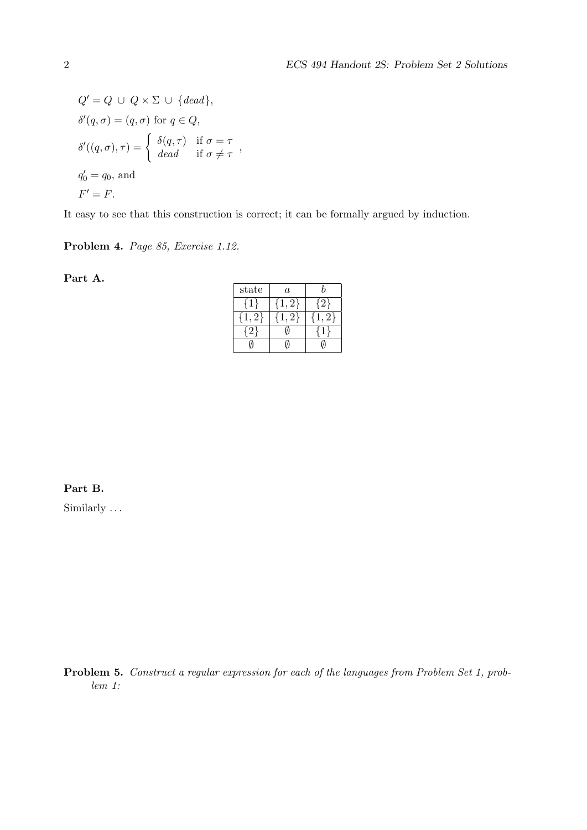$$
Q' = Q \cup Q \times \Sigma \cup \{dead\},
$$
  

$$
\delta'(q, \sigma) = (q, \sigma) \text{ for } q \in Q,
$$
  

$$
\delta'((q, \sigma), \tau) = \begin{cases} \delta(q, \tau) & \text{if } \sigma = \tau \\ dead & \text{if } \sigma \neq \tau \end{cases},
$$
  

$$
q'_0 = q_0, \text{ and}
$$
  

$$
F' = F.
$$

It easy to see that this construction is correct; it can be formally argued by induction.

Problem 4. Page 85, Exercise 1.12.

Part A.

| state | $\it a$ |    |
|-------|---------|----|
|       | $2\}$   |    |
| 2}    |         | 21 |
|       |         |    |
|       |         |    |

Part B.

Similarly ...

Problem 5. Construct a regular expression for each of the languages from Problem Set 1, problem 1: